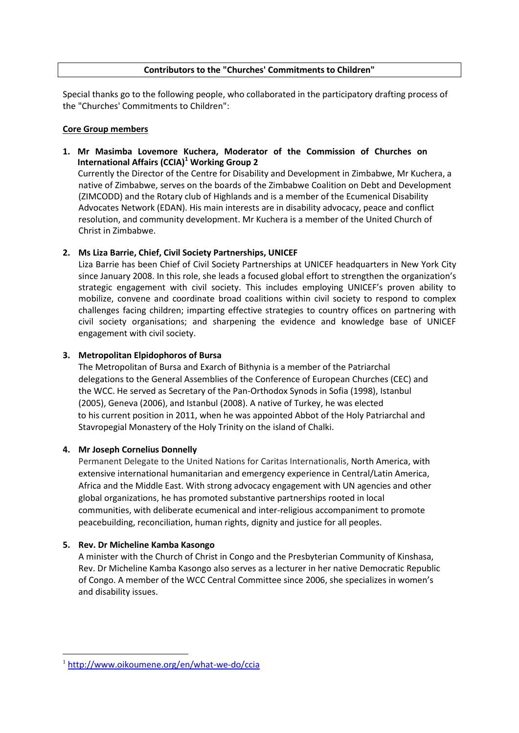# **Contributors to the "Churches' Commitments to Children"**

Special thanks go to the following people, who collaborated in the participatory drafting process of the "Churches' Commitments to Children":

# **Core Group members**

**1. Mr Masimba Lovemore Kuchera, Moderator of the Commission of Churches on International Affairs (CCIA)<sup>1</sup> Working Group 2**

Currently the Director of the Centre for Disability and Development in Zimbabwe, Mr Kuchera, a native of Zimbabwe, serves on the boards of the Zimbabwe Coalition on Debt and Development (ZIMCODD) and the Rotary club of Highlands and is a member of the Ecumenical Disability Advocates Network (EDAN). His main interests are in disability advocacy, peace and conflict resolution, and community development. Mr Kuchera is a member of the United Church of Christ in Zimbabwe.

# **2. Ms Liza Barrie, Chief, Civil Society Partnerships, UNICEF**

Liza Barrie has been Chief of Civil Society Partnerships at UNICEF headquarters in New York City since January 2008. In this role, she leads a focused global effort to strengthen the organization's strategic engagement with civil society. This includes employing UNICEF's proven ability to mobilize, convene and coordinate broad coalitions within civil society to respond to complex challenges facing children; imparting effective strategies to country offices on partnering with civil society organisations; and sharpening the evidence and knowledge base of UNICEF engagement with civil society.

# **3. Metropolitan Elpidophoros of Bursa**

The Metropolitan of Bursa and Exarch of Bithynia is a member of the Patriarchal delegations to the General Assemblies of the Conference of European Churches (CEC) and the WCC. He served as Secretary of the Pan-Orthodox Synods in Sofia (1998), Istanbul (2005), Geneva (2006), and Istanbul (2008). A native of Turkey, he was elected to his current position in 2011, when he was appointed Abbot of the Holy Patriarchal and Stavropegial Monastery of the Holy Trinity on the island of Chalki.

# **4. Mr Joseph Cornelius Donnelly**

Permanent Delegate to the United Nations for Caritas Internationalis, North America, with extensive international humanitarian and emergency experience in Central/Latin America, Africa and the Middle East. With strong advocacy engagement with UN agencies and other global organizations, he has promoted substantive partnerships rooted in local communities, with deliberate ecumenical and inter-religious accompaniment to promote peacebuilding, reconciliation, human rights, dignity and justice for all peoples.

# **5. Rev. Dr Micheline Kamba Kasongo**

-

A minister with the Church of Christ in Congo and the Presbyterian Community of Kinshasa, Rev. Dr Micheline Kamba Kasongo also serves as a lecturer in her native Democratic Republic of Congo. A member of the WCC Central Committee since 2006, she specializes in women's and disability issues.

<sup>1</sup> http://www.oikoumene.org/en/what-we-do/ccia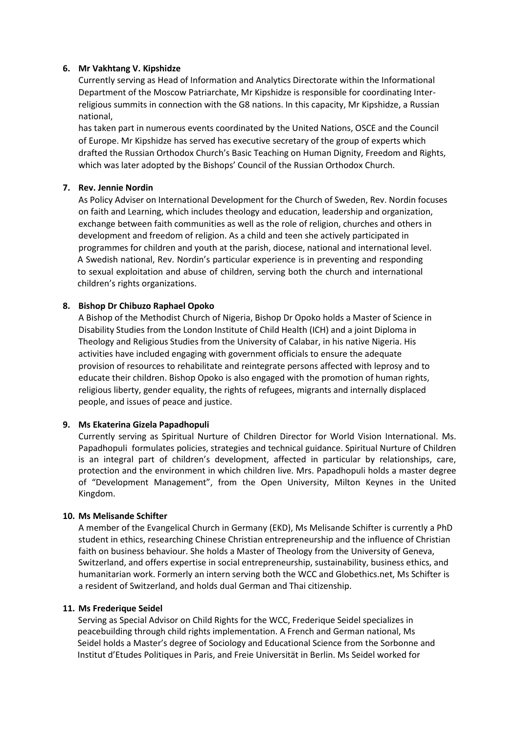## **6. Mr Vakhtang V. Kipshidze**

Currently serving as Head of Information and Analytics Directorate within the Informational Department of the Moscow Patriarchate, Mr Kipshidze is responsible for coordinating Interreligious summits in connection with the G8 nations. In this capacity, Mr Kipshidze, a Russian national,

has taken part in numerous events coordinated by the United Nations, OSCE and the Council of Europe. Mr Kipshidze has served has executive secretary of the group of experts which drafted the Russian Orthodox Church's Basic Teaching on Human Dignity, Freedom and Rights, which was later adopted by the Bishops' Council of the Russian Orthodox Church.

# **7. Rev. Jennie Nordin**

As Policy Adviser on International Development for the Church of Sweden, Rev. Nordin focuses on faith and Learning, which includes theology and education, leadership and organization, exchange between faith communities as well as the role of religion, churches and others in development and freedom of religion. As a child and teen she actively participated in programmes for children and youth at the parish, diocese, national and international level. A Swedish national, Rev. Nordin's particular experience is in preventing and responding to sexual exploitation and abuse of children, serving both the church and international children's rights organizations.

## **8. Bishop Dr Chibuzo Raphael Opoko**

A Bishop of the Methodist Church of Nigeria, Bishop Dr Opoko holds a Master of Science in Disability Studies from the London Institute of Child Health (ICH) and a joint Diploma in Theology and Religious Studies from the University of Calabar, in his native Nigeria. His activities have included engaging with government officials to ensure the adequate provision of resources to rehabilitate and reintegrate persons affected with leprosy and to educate their children. Bishop Opoko is also engaged with the promotion of human rights, religious liberty, gender equality, the rights of refugees, migrants and internally displaced people, and issues of peace and justice.

# **9. Ms Ekaterina Gizela Papadhopuli**

Currently serving as Spiritual Nurture of Children Director for World Vision International. Ms. Papadhopuli formulates policies, strategies and technical guidance. Spiritual Nurture of Children is an integral part of children's development, affected in particular by relationships, care, protection and the environment in which children live. Mrs. Papadhopuli holds a master degree of "Development Management", from the Open University, Milton Keynes in the United Kingdom.

#### **10. Ms Melisande Schifter**

A member of the Evangelical Church in Germany (EKD), Ms Melisande Schifter is currently a PhD student in ethics, researching Chinese Christian entrepreneurship and the influence of Christian faith on business behaviour. She holds a Master of Theology from the University of Geneva, Switzerland, and offers expertise in social entrepreneurship, sustainability, business ethics, and humanitarian work. Formerly an intern serving both the WCC and Globethics.net, Ms Schifter is a resident of Switzerland, and holds dual German and Thai citizenship.

#### **11. Ms Frederique Seidel**

Serving as Special Advisor on Child Rights for the WCC, Frederique Seidel specializes in peacebuilding through child rights implementation. A French and German national, Ms Seidel holds a Master's degree of Sociology and Educational Science from the Sorbonne and Institut d'Etudes Politiques in Paris, and Freie Universität in Berlin. Ms Seidel worked for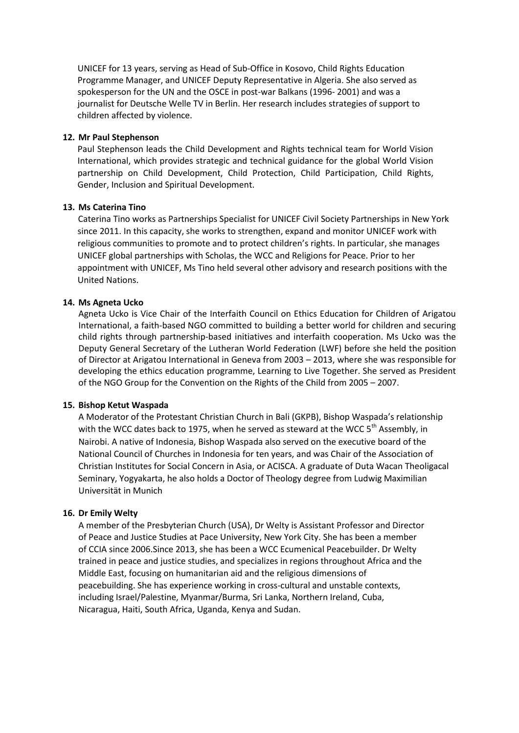UNICEF for 13 years, serving as Head of Sub-Office in Kosovo, Child Rights Education Programme Manager, and UNICEF Deputy Representative in Algeria. She also served as spokesperson for the UN and the OSCE in post-war Balkans (1996- 2001) and was a journalist for Deutsche Welle TV in Berlin. Her research includes strategies of support to children affected by violence.

### **12. Mr Paul Stephenson**

Paul Stephenson leads the Child Development and Rights technical team for World Vision International, which provides strategic and technical guidance for the global World Vision partnership on Child Development, Child Protection, Child Participation, Child Rights, Gender, Inclusion and Spiritual Development.

## **13. Ms Caterina Tino**

Caterina Tino works as Partnerships Specialist for UNICEF Civil Society Partnerships in New York since 2011. In this capacity, she works to strengthen, expand and monitor UNICEF work with religious communities to promote and to protect children's rights. In particular, she manages UNICEF global partnerships with Scholas, the WCC and Religions for Peace. Prior to her appointment with UNICEF, Ms Tino held several other advisory and research positions with the United Nations.

## **14. Ms Agneta Ucko**

Agneta Ucko is Vice Chair of the Interfaith Council on Ethics Education for Children of Arigatou International, a faith-based NGO committed to building a better world for children and securing child rights through partnership-based initiatives and interfaith cooperation. Ms Ucko was the Deputy General Secretary of the Lutheran World Federation (LWF) before she held the position of Director at Arigatou International in Geneva from 2003 – 2013, where she was responsible for developing the ethics education programme, Learning to Live Together. She served as President of the NGO Group for the Convention on the Rights of the Child from 2005 – 2007.

#### **15. Bishop Ketut Waspada**

A Moderator of the Protestant Christian Church in Bali (GKPB), Bishop Waspada's relationship with the WCC dates back to 1975, when he served as steward at the WCC 5<sup>th</sup> Assembly, in Nairobi. A native of Indonesia, Bishop Waspada also served on the executive board of the National Council of Churches in Indonesia for ten years, and was Chair of the Association of Christian Institutes for Social Concern in Asia, or ACISCA. A graduate of Duta Wacan Theoligacal Seminary, Yogyakarta, he also holds a Doctor of Theology degree from Ludwig Maximilian Universität in Munich

#### **16. Dr Emily Welty**

A member of the Presbyterian Church (USA), Dr Welty is Assistant Professor and Director of Peace and Justice Studies at Pace University, New York City. She has been a member of CCIA since 2006.Since 2013, she has been a WCC Ecumenical Peacebuilder. Dr Welty trained in peace and justice studies, and specializes in regions throughout Africa and the Middle East, focusing on humanitarian aid and the religious dimensions of peacebuilding. She has experience working in cross-cultural and unstable contexts, including Israel/Palestine, Myanmar/Burma, Sri Lanka, Northern Ireland, Cuba, Nicaragua, Haiti, South Africa, Uganda, Kenya and Sudan.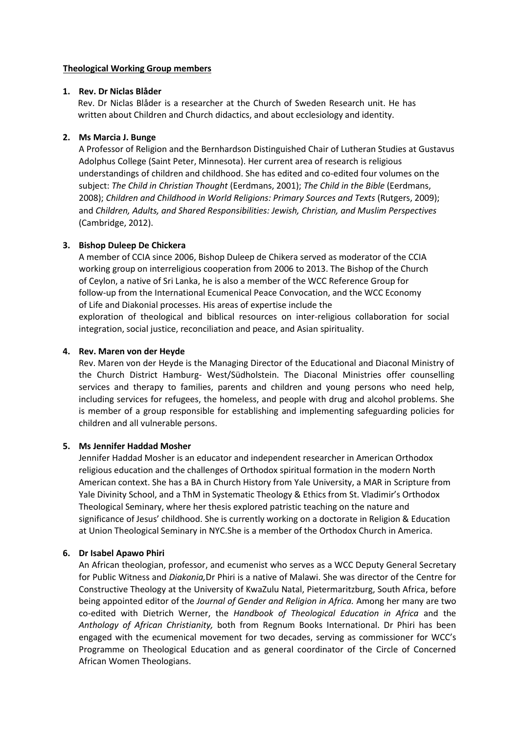## **Theological Working Group members**

## **1. Rev. Dr Niclas Blåder**

Rev. Dr Niclas Blåder is a researcher at the Church of Sweden Research unit. He has written about Children and Church didactics, and about ecclesiology and identity.

## **2. Ms Marcia J. Bunge**

A Professor of Religion and the Bernhardson Distinguished Chair of Lutheran Studies at Gustavus Adolphus College (Saint Peter, Minnesota). Her current area of research is religious understandings of children and childhood. She has edited and co-edited four volumes on the subject: *The Child in Christian Thought* (Eerdmans, 2001); *The Child in the Bible* (Eerdmans, 2008); *Children and Childhood in World Religions: Primary Sources and Texts* (Rutgers, 2009); and *Children, Adults, and Shared Responsibilities: Jewish, Christian, and Muslim Perspectives* (Cambridge, 2012).

# **3. Bishop Duleep De Chickera**

A member of CCIA since 2006, Bishop Duleep de Chikera served as moderator of the CCIA working group on interreligious cooperation from 2006 to 2013. The Bishop of the Church of Ceylon, a native of Sri Lanka, he is also a member of the WCC Reference Group for follow-up from the International Ecumenical Peace Convocation, and the WCC Economy of Life and Diakonial processes. His areas of expertise include the exploration of theological and biblical resources on inter-religious collaboration for social integration, social justice, reconciliation and peace, and Asian spirituality.

# **4. Rev. Maren von der Heyde**

Rev. Maren von der Heyde is the Managing Director of the Educational and Diaconal Ministry of the Church District Hamburg- West/Südholstein. The Diaconal Ministries offer counselling services and therapy to families, parents and children and young persons who need help, including services for refugees, the homeless, and people with drug and alcohol problems. She is member of a group responsible for establishing and implementing safeguarding policies for children and all vulnerable persons.

# **5. Ms Jennifer Haddad Mosher**

Jennifer Haddad Mosher is an educator and independent researcher in American Orthodox religious education and the challenges of Orthodox spiritual formation in the modern North American context. She has a BA in Church History from Yale University, a MAR in Scripture from Yale Divinity School, and a ThM in Systematic Theology & Ethics from St. Vladimir's Orthodox Theological Seminary, where her thesis explored patristic teaching on the nature and significance of Jesus' childhood. She is currently working on a doctorate in Religion & Education at Union Theological Seminary in NYC.She is a member of the Orthodox Church in America.

#### **6. Dr Isabel Apawo Phiri**

An African theologian, professor, and ecumenist who serves as a WCC Deputy General Secretary for Public Witness and *Diakonia,*Dr Phiri is a native of Malawi. She was director of the Centre for Constructive Theology at the University of KwaZulu Natal, Pietermaritzburg, South Africa, before being appointed editor of the *Journal of Gender and Religion in Africa.* Among her many are two co-edited with Dietrich Werner, the *Handbook of Theological Education in Africa* and the *Anthology of African Christianity,* both from Regnum Books International. Dr Phiri has been engaged with the ecumenical movement for two decades, serving as commissioner for WCC's Programme on Theological Education and as general coordinator of the Circle of Concerned African Women Theologians.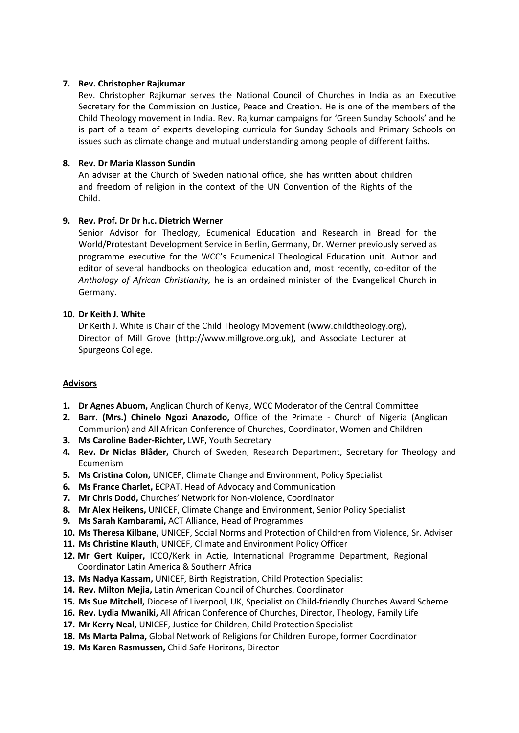# **7. Rev. Christopher Rajkumar**

Rev. Christopher Rajkumar serves the National Council of Churches in India as an Executive Secretary for the Commission on Justice, Peace and Creation. He is one of the members of the Child Theology movement in India. Rev. Rajkumar campaigns for 'Green Sunday Schools' and he is part of a team of experts developing curricula for Sunday Schools and Primary Schools on issues such as climate change and mutual understanding among people of different faiths.

# **8. Rev. Dr Maria Klasson Sundin**

An adviser at the Church of Sweden national office, she has written about children and freedom of religion in the context of the UN Convention of the Rights of the Child.

# **9. Rev. Prof. Dr Dr h.c. Dietrich Werner**

Senior Advisor for Theology, Ecumenical Education and Research in Bread for the World/Protestant Development Service in Berlin, Germany, Dr. Werner previously served as programme executive for the WCC's Ecumenical Theological Education unit. Author and editor of several handbooks on theological education and, most recently, co-editor of the *Anthology of African Christianity,* he is an ordained minister of the Evangelical Church in Germany.

# **10. Dr Keith J. White**

Dr Keith J. White is Chair of the Child Theology Movement (www.childtheology.org), Director of Mill Grove (http://www.millgrove.org.uk), and Associate Lecturer at Spurgeons College.

# **Advisors**

- **1. Dr Agnes Abuom,** Anglican Church of Kenya, WCC Moderator of the Central Committee
- **2. Barr. (Mrs.) Chinelo Ngozi Anazodo,** Office of the Primate Church of Nigeria (Anglican Communion) and All African Conference of Churches, Coordinator, Women and Children
- **3. Ms Caroline Bader-Richter,** LWF, Youth Secretary
- **4. Rev. Dr Niclas Blåder,** Church of Sweden, Research Department, Secretary for Theology and Ecumenism
- **5. Ms Cristina Colon,** UNICEF, Climate Change and Environment, Policy Specialist
- **6. Ms France Charlet,** ECPAT, Head of Advocacy and Communication
- **7. Mr Chris Dodd,** Churches' Network for Non-violence, Coordinator
- **8. Mr Alex Heikens,** UNICEF, Climate Change and Environment, Senior Policy Specialist
- **9. Ms Sarah Kambarami,** ACT Alliance, Head of Programmes
- **10. Ms Theresa Kilbane,** UNICEF, Social Norms and Protection of Children from Violence, Sr. Adviser
- **11. Ms Christine Klauth,** UNICEF, Climate and Environment Policy Officer
- **12. Mr Gert Kuiper,** ICCO/Kerk in Actie, International Programme Department, Regional Coordinator Latin America & Southern Africa
- **13. Ms Nadya Kassam,** UNICEF, Birth Registration, Child Protection Specialist
- **14. Rev. Milton Mejia,** Latin American Council of Churches, Coordinator
- **15. Ms Sue Mitchell,** Diocese of Liverpool, UK, Specialist on Child-friendly Churches Award Scheme
- **16. Rev. Lydia Mwaniki,** All African Conference of Churches, Director, Theology, Family Life
- **17. Mr Kerry Neal,** UNICEF, Justice for Children, Child Protection Specialist
- **18. Ms Marta Palma,** Global Network of Religions for Children Europe, former Coordinator
- **19. Ms Karen Rasmussen,** Child Safe Horizons, Director